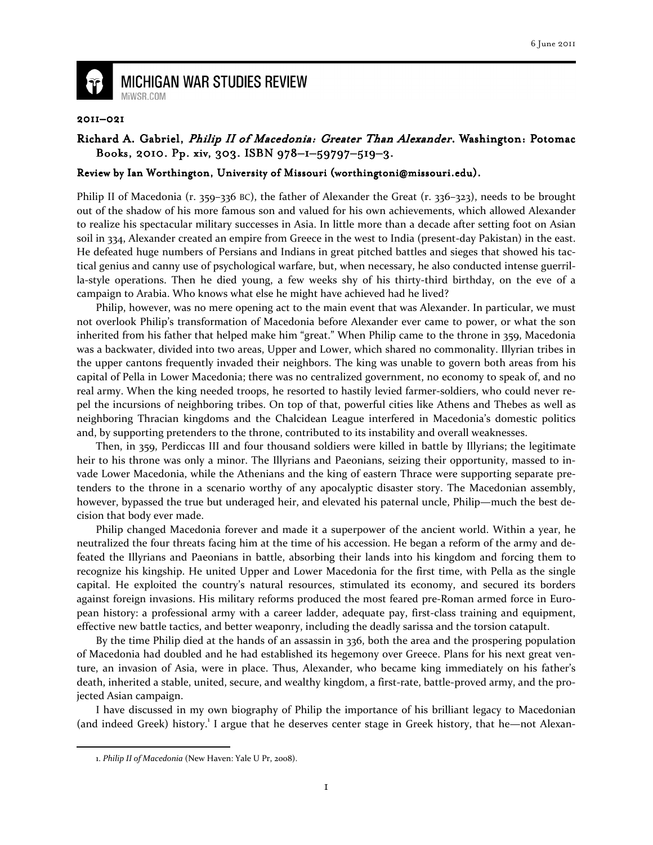

**MICHIGAN WAR STUDIES REVIEW** MiWSR COM

## 2011–021

## Richard A. Gabriel, Philip II of Macedonia: Greater Than Alexander. Washington: Potomac Books, 2010. Pp. xiv, 303. ISBN 978-1-59797-519-3.

## Review by Ian Worthington, University of Missouri (worthingtoni@missouri.edu).

Philip II of Macedonia (r. 359–336 BC), the father of Alexander the Great (r. 336–323), needs to be brought out of the shadow of his more famous son and valued for his own achievements, which allowed Alexander to realize his spectacular military successes in Asia. In little more than a decade after setting foot on Asian soil in 334, Alexander created an empire from Greece in the west to India (present-day Pakistan) in the east. He defeated huge numbers of Persians and Indians in great pitched battles and sieges that showed his tactical genius and canny use of psychological warfare, but, when necessary, he also conducted intense guerrilla-style operations. Then he died young, a few weeks shy of his thirty-third birthday, on the eve of a campaign to Arabia. Who knows what else he might have achieved had he lived?

 Philip, however, was no mere opening act to the main event that was Alexander. In particular, we must not overlook Philip's transformation of Macedonia before Alexander ever came to power, or what the son inherited from his father that helped make him "great." When Philip came to the throne in 359, Macedonia was a backwater, divided into two areas, Upper and Lower, which shared no commonality. Illyrian tribes in the upper cantons frequently invaded their neighbors. The king was unable to govern both areas from his capital of Pella in Lower Macedonia; there was no centralized government, no economy to speak of, and no real army. When the king needed troops, he resorted to hastily levied farmer-soldiers, who could never repel the incursions of neighboring tribes. On top of that, powerful cities like Athens and Thebes as well as neighboring Thracian kingdoms and the Chalcidean League interfered in Macedonia's domestic politics and, by supporting pretenders to the throne, contributed to its instability and overall weaknesses.

 Then, in 359, Perdiccas III and four thousand soldiers were killed in battle by Illyrians; the legitimate heir to his throne was only a minor. The Illyrians and Paeonians, seizing their opportunity, massed to invade Lower Macedonia, while the Athenians and the king of eastern Thrace were supporting separate pretenders to the throne in a scenario worthy of any apocalyptic disaster story. The Macedonian assembly, however, bypassed the true but underaged heir, and elevated his paternal uncle, Philip—much the best decision that body ever made.

 Philip changed Macedonia forever and made it a superpower of the ancient world. Within a year, he neutralized the four threats facing him at the time of his accession. He began a reform of the army and defeated the Illyrians and Paeonians in battle, absorbing their lands into his kingdom and forcing them to recognize his kingship. He united Upper and Lower Macedonia for the first time, with Pella as the single capital. He exploited the country's natural resources, stimulated its economy, and secured its borders against foreign invasions. His military reforms produced the most feared pre-Roman armed force in European history: a professional army with a career ladder, adequate pay, first-class training and equipment, effective new battle tactics, and better weaponry, including the deadly sarissa and the torsion catapult.

 By the time Philip died at the hands of an assassin in 336, both the area and the prospering population of Macedonia had doubled and he had established its hegemony over Greece. Plans for his next great venture, an invasion of Asia, were in place. Thus, Alexander, who became king immediately on his father's death, inherited a stable, united, secure, and wealthy kingdom, a first-rate, battle-proved army, and the projected Asian campaign.

 I have discussed in my own biography of Philip the importance of his brilliant legacy to Macedonian (and indeed Greek) history.<sup>1</sup> I argue that he deserves center stage in Greek history, that he-not Alexan-

 $\overline{\phantom{0}}$ 

<sup>1.</sup> Philip II of Macedonia (New Haven: Yale U Pr, 2008).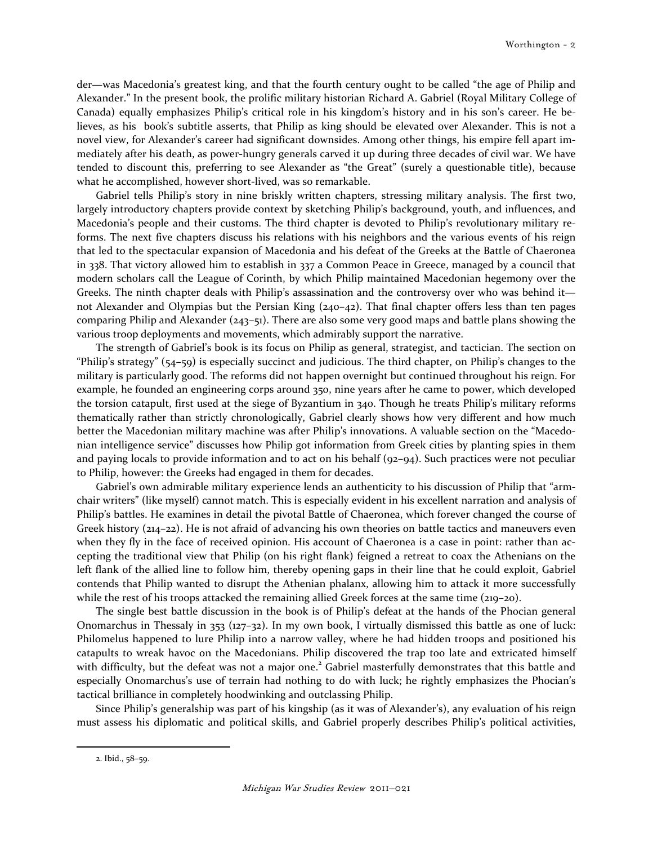der—was Macedonia's greatest king, and that the fourth century ought to be called "the age of Philip and Alexander." In the present book, the prolific military historian Richard A. Gabriel (Royal Military College of Canada) equally emphasizes Philip's critical role in his kingdom's history and in his son's career. He believes, as his book's subtitle asserts, that Philip as king should be elevated over Alexander. This is not a novel view, for Alexander's career had significant downsides. Among other things, his empire fell apart immediately after his death, as power-hungry generals carved it up during three decades of civil war. We have tended to discount this, preferring to see Alexander as "the Great" (surely a questionable title), because what he accomplished, however short-lived, was so remarkable.

 Gabriel tells Philip's story in nine briskly written chapters, stressing military analysis. The first two, largely introductory chapters provide context by sketching Philip's background, youth, and influences, and Macedonia's people and their customs. The third chapter is devoted to Philip's revolutionary military reforms. The next five chapters discuss his relations with his neighbors and the various events of his reign that led to the spectacular expansion of Macedonia and his defeat of the Greeks at the Battle of Chaeronea in 338. That victory allowed him to establish in 337 a Common Peace in Greece, managed by a council that modern scholars call the League of Corinth, by which Philip maintained Macedonian hegemony over the Greeks. The ninth chapter deals with Philip's assassination and the controversy over who was behind it not Alexander and Olympias but the Persian King (240–42). That final chapter offers less than ten pages comparing Philip and Alexander (243–51). There are also some very good maps and battle plans showing the various troop deployments and movements, which admirably support the narrative.

 The strength of Gabriel's book is its focus on Philip as general, strategist, and tactician. The section on "Philip's strategy" (54–59) is especially succinct and judicious. The third chapter, on Philip's changes to the military is particularly good. The reforms did not happen overnight but continued throughout his reign. For example, he founded an engineering corps around 350, nine years after he came to power, which developed the torsion catapult, first used at the siege of Byzantium in 340. Though he treats Philip's military reforms thematically rather than strictly chronologically, Gabriel clearly shows how very different and how much better the Macedonian military machine was after Philip's innovations. A valuable section on the "Macedonian intelligence service" discusses how Philip got information from Greek cities by planting spies in them and paying locals to provide information and to act on his behalf (92–94). Such practices were not peculiar to Philip, however: the Greeks had engaged in them for decades.

 Gabriel's own admirable military experience lends an authenticity to his discussion of Philip that "armchair writers" (like myself) cannot match. This is especially evident in his excellent narration and analysis of Philip's battles. He examines in detail the pivotal Battle of Chaeronea, which forever changed the course of Greek history (214–22). He is not afraid of advancing his own theories on battle tactics and maneuvers even when they fly in the face of received opinion. His account of Chaeronea is a case in point: rather than accepting the traditional view that Philip (on his right flank) feigned a retreat to coax the Athenians on the left flank of the allied line to follow him, thereby opening gaps in their line that he could exploit, Gabriel contends that Philip wanted to disrupt the Athenian phalanx, allowing him to attack it more successfully while the rest of his troops attacked the remaining allied Greek forces at the same time (219–20).

 The single best battle discussion in the book is of Philip's defeat at the hands of the Phocian general Onomarchus in Thessaly in 353 (127–32). In my own book, I virtually dismissed this battle as one of luck: Philomelus happened to lure Philip into a narrow valley, where he had hidden troops and positioned his catapults to wreak havoc on the Macedonians. Philip discovered the trap too late and extricated himself with difficulty, but the defeat was not a major one.<sup>2</sup> Gabriel masterfully demonstrates that this battle and especially Onomarchus's use of terrain had nothing to do with luck; he rightly emphasizes the Phocian's tactical brilliance in completely hoodwinking and outclassing Philip.

Since Philip's generalship was part of his kingship (as it was of Alexander's), any evaluation of his reign must assess his diplomatic and political skills, and Gabriel properly describes Philip's political activities,

 $\overline{\phantom{0}}$ 

<sup>2.</sup> Ibid., 58–59.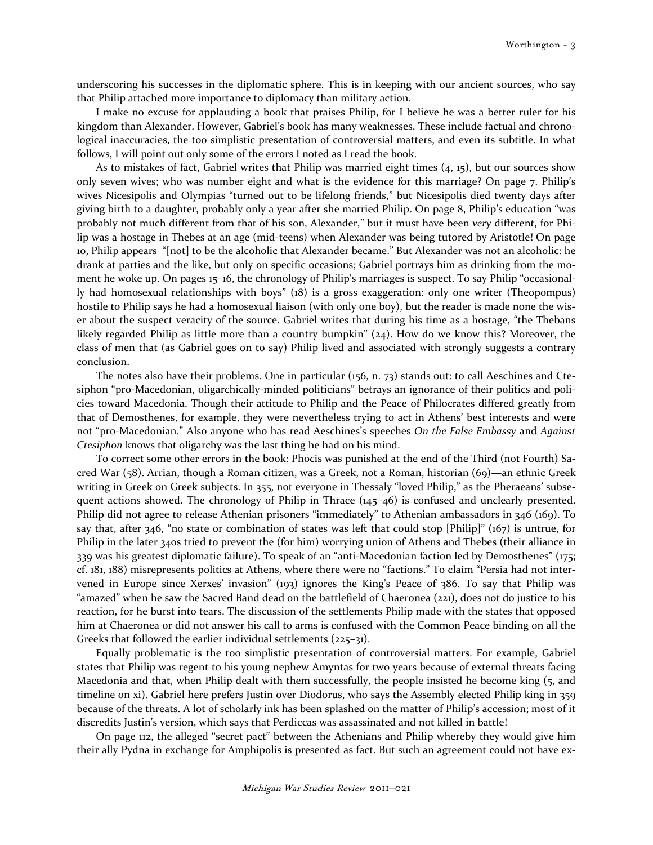underscoring his successes in the diplomatic sphere. This is in keeping with our ancient sources, who say that Philip attached more importance to diplomacy than military action.

 I make no excuse for applauding a book that praises Philip, for I believe he was a better ruler for his kingdom than Alexander. However, Gabriel's book has many weaknesses. These include factual and chronological inaccuracies, the too simplistic presentation of controversial matters, and even its subtitle. In what follows, I will point out only some of the errors I noted as I read the book.

 As to mistakes of fact, Gabriel writes that Philip was married eight times (4, 15), but our sources show only seven wives; who was number eight and what is the evidence for this marriage? On page 7, Philip's wives Nicesipolis and Olympias "turned out to be lifelong friends," but Nicesipolis died twenty days after giving birth to a daughter, probably only a year after she married Philip. On page 8, Philip's education "was probably not much different from that of his son, Alexander," but it must have been very different, for Philip was a hostage in Thebes at an age (mid-teens) when Alexander was being tutored by Aristotle! On page 10, Philip appears "[not] to be the alcoholic that Alexander became." But Alexander was not an alcoholic: he drank at parties and the like, but only on specific occasions; Gabriel portrays him as drinking from the moment he woke up. On pages 15–16, the chronology of Philip's marriages is suspect. To say Philip "occasionally had homosexual relationships with boys" (18) is a gross exaggeration: only one writer (Theopompus) hostile to Philip says he had a homosexual liaison (with only one boy), but the reader is made none the wiser about the suspect veracity of the source. Gabriel writes that during his time as a hostage, "the Thebans likely regarded Philip as little more than a country bumpkin" (24). How do we know this? Moreover, the class of men that (as Gabriel goes on to say) Philip lived and associated with strongly suggests a contrary conclusion.

 The notes also have their problems. One in particular (156, n. 73) stands out: to call Aeschines and Ctesiphon "pro-Macedonian, oligarchically-minded politicians" betrays an ignorance of their politics and policies toward Macedonia. Though their attitude to Philip and the Peace of Philocrates differed greatly from that of Demosthenes, for example, they were nevertheless trying to act in Athens' best interests and were not "pro-Macedonian." Also anyone who has read Aeschines's speeches On the False Embassy and Against Ctesiphon knows that oligarchy was the last thing he had on his mind.

 To correct some other errors in the book: Phocis was punished at the end of the Third (not Fourth) Sacred War (58). Arrian, though a Roman citizen, was a Greek, not a Roman, historian (69)—an ethnic Greek writing in Greek on Greek subjects. In 355, not everyone in Thessaly "loved Philip," as the Pheraeans' subsequent actions showed. The chronology of Philip in Thrace (145–46) is confused and unclearly presented. Philip did not agree to release Athenian prisoners "immediately" to Athenian ambassadors in 346 (169). To say that, after 346, "no state or combination of states was left that could stop [Philip]" (167) is untrue, for Philip in the later 340s tried to prevent the (for him) worrying union of Athens and Thebes (their alliance in 339 was his greatest diplomatic failure). To speak of an "anti-Macedonian faction led by Demosthenes" (175; cf. 181, 188) misrepresents politics at Athens, where there were no "factions." To claim "Persia had not intervened in Europe since Xerxes' invasion" (193) ignores the King's Peace of 386. To say that Philip was "amazed" when he saw the Sacred Band dead on the battlefield of Chaeronea (221), does not do justice to his reaction, for he burst into tears. The discussion of the settlements Philip made with the states that opposed him at Chaeronea or did not answer his call to arms is confused with the Common Peace binding on all the Greeks that followed the earlier individual settlements (225–31).

 Equally problematic is the too simplistic presentation of controversial matters. For example, Gabriel states that Philip was regent to his young nephew Amyntas for two years because of external threats facing Macedonia and that, when Philip dealt with them successfully, the people insisted he become king (5, and timeline on xi). Gabriel here prefers Justin over Diodorus, who says the Assembly elected Philip king in 359 because of the threats. A lot of scholarly ink has been splashed on the matter of Philip's accession; most of it discredits Justin's version, which says that Perdiccas was assassinated and not killed in battle!

 On page 112, the alleged "secret pact" between the Athenians and Philip whereby they would give him their ally Pydna in exchange for Amphipolis is presented as fact. But such an agreement could not have ex